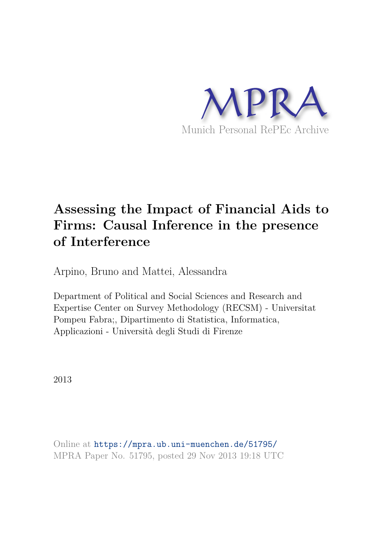

# **Assessing the Impact of Financial Aids to Firms: Causal Inference in the presence of Interference**

Arpino, Bruno and Mattei, Alessandra

Department of Political and Social Sciences and Research and Expertise Center on Survey Methodology (RECSM) - Universitat Pompeu Fabra;, Dipartimento di Statistica, Informatica, Applicazioni - Università degli Studi di Firenze

2013

Online at https://mpra.ub.uni-muenchen.de/51795/ MPRA Paper No. 51795, posted 29 Nov 2013 19:18 UTC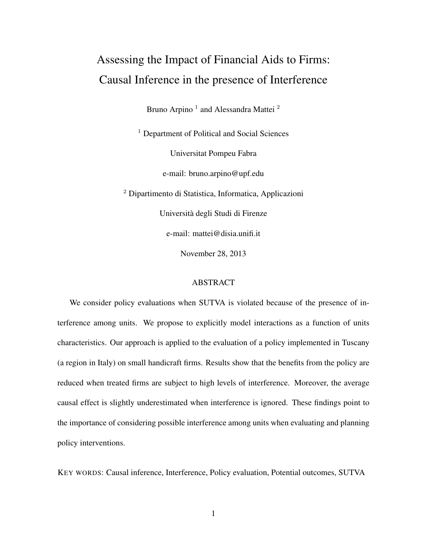# Assessing the Impact of Financial Aids to Firms: Causal Inference in the presence of Interference

Bruno Arpino  $^1$  and Alessandra Mattei  $^2$ 

<sup>1</sup> Department of Political and Social Sciences Universitat Pompeu Fabra e-mail: bruno.arpino@upf.edu <sup>2</sup> Dipartimento di Statistica, Informatica, Applicazioni Universita degli Studi di Firenze `

e-mail: mattei@disia.unifi.it

November 28, 2013

#### **ABSTRACT**

We consider policy evaluations when SUTVA is violated because of the presence of interference among units. We propose to explicitly model interactions as a function of units characteristics. Our approach is applied to the evaluation of a policy implemented in Tuscany (a region in Italy) on small handicraft firms. Results show that the benefits from the policy are reduced when treated firms are subject to high levels of interference. Moreover, the average causal effect is slightly underestimated when interference is ignored. These findings point to the importance of considering possible interference among units when evaluating and planning policy interventions.

KEY WORDS: Causal inference, Interference, Policy evaluation, Potential outcomes, SUTVA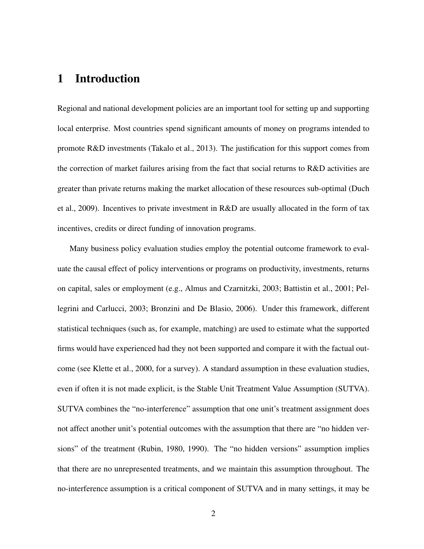## 1 Introduction

Regional and national development policies are an important tool for setting up and supporting local enterprise. Most countries spend significant amounts of money on programs intended to promote R&D investments (Takalo et al., 2013). The justification for this support comes from the correction of market failures arising from the fact that social returns to R&D activities are greater than private returns making the market allocation of these resources sub-optimal (Duch et al., 2009). Incentives to private investment in R&D are usually allocated in the form of tax incentives, credits or direct funding of innovation programs.

Many business policy evaluation studies employ the potential outcome framework to evaluate the causal effect of policy interventions or programs on productivity, investments, returns on capital, sales or employment (e.g., Almus and Czarnitzki, 2003; Battistin et al., 2001; Pellegrini and Carlucci, 2003; Bronzini and De Blasio, 2006). Under this framework, different statistical techniques (such as, for example, matching) are used to estimate what the supported firms would have experienced had they not been supported and compare it with the factual outcome (see Klette et al., 2000, for a survey). A standard assumption in these evaluation studies, even if often it is not made explicit, is the Stable Unit Treatment Value Assumption (SUTVA). SUTVA combines the "no-interference" assumption that one unit's treatment assignment does not affect another unit's potential outcomes with the assumption that there are "no hidden versions" of the treatment (Rubin, 1980, 1990). The "no hidden versions" assumption implies that there are no unrepresented treatments, and we maintain this assumption throughout. The no-interference assumption is a critical component of SUTVA and in many settings, it may be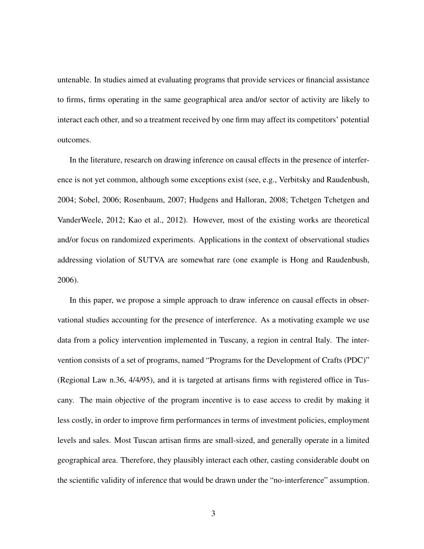untenable. In studies aimed at evaluating programs that provide services or financial assistance to firms, firms operating in the same geographical area and/or sector of activity are likely to interact each other, and so a treatment received by one firm may affect its competitors' potential outcomes.

In the literature, research on drawing inference on causal effects in the presence of interference is not yet common, although some exceptions exist (see, e.g., Verbitsky and Raudenbush, 2004; Sobel, 2006; Rosenbaum, 2007; Hudgens and Halloran, 2008; Tchetgen Tchetgen and VanderWeele, 2012; Kao et al., 2012). However, most of the existing works are theoretical and/or focus on randomized experiments. Applications in the context of observational studies addressing violation of SUTVA are somewhat rare (one example is Hong and Raudenbush, 2006).

In this paper, we propose a simple approach to draw inference on causal effects in observational studies accounting for the presence of interference. As a motivating example we use data from a policy intervention implemented in Tuscany, a region in central Italy. The intervention consists of a set of programs, named "Programs for the Development of Crafts (PDC)" (Regional Law n.36, 4/4/95), and it is targeted at artisans firms with registered office in Tuscany. The main objective of the program incentive is to ease access to credit by making it less costly, in order to improve firm performances in terms of investment policies, employment levels and sales. Most Tuscan artisan firms are small-sized, and generally operate in a limited geographical area. Therefore, they plausibly interact each other, casting considerable doubt on the scientific validity of inference that would be drawn under the "no-interference" assumption.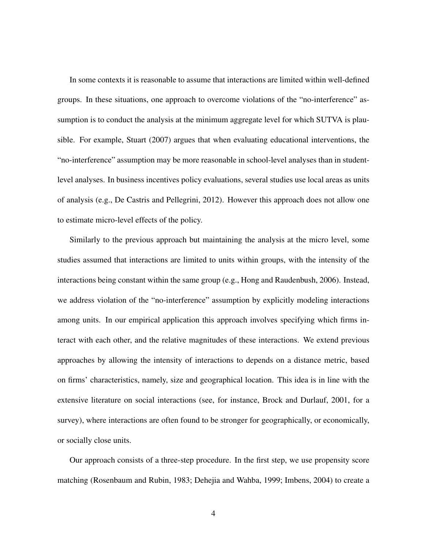In some contexts it is reasonable to assume that interactions are limited within well-defined groups. In these situations, one approach to overcome violations of the "no-interference" assumption is to conduct the analysis at the minimum aggregate level for which SUTVA is plausible. For example, Stuart (2007) argues that when evaluating educational interventions, the "no-interference" assumption may be more reasonable in school-level analyses than in studentlevel analyses. In business incentives policy evaluations, several studies use local areas as units of analysis (e.g., De Castris and Pellegrini, 2012). However this approach does not allow one to estimate micro-level effects of the policy.

Similarly to the previous approach but maintaining the analysis at the micro level, some studies assumed that interactions are limited to units within groups, with the intensity of the interactions being constant within the same group (e.g., Hong and Raudenbush, 2006). Instead, we address violation of the "no-interference" assumption by explicitly modeling interactions among units. In our empirical application this approach involves specifying which firms interact with each other, and the relative magnitudes of these interactions. We extend previous approaches by allowing the intensity of interactions to depends on a distance metric, based on firms' characteristics, namely, size and geographical location. This idea is in line with the extensive literature on social interactions (see, for instance, Brock and Durlauf, 2001, for a survey), where interactions are often found to be stronger for geographically, or economically, or socially close units.

Our approach consists of a three-step procedure. In the first step, we use propensity score matching (Rosenbaum and Rubin, 1983; Dehejia and Wahba, 1999; Imbens, 2004) to create a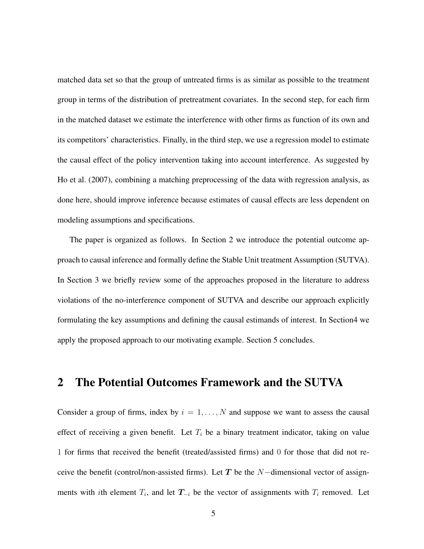matched data set so that the group of untreated firms is as similar as possible to the treatment group in terms of the distribution of pretreatment covariates. In the second step, for each firm in the matched dataset we estimate the interference with other firms as function of its own and its competitors' characteristics. Finally, in the third step, we use a regression model to estimate the causal effect of the policy intervention taking into account interference. As suggested by Ho et al. (2007), combining a matching preprocessing of the data with regression analysis, as done here, should improve inference because estimates of causal effects are less dependent on modeling assumptions and specifications.

The paper is organized as follows. In Section 2 we introduce the potential outcome approach to causal inference and formally define the Stable Unit treatment Assumption (SUTVA). In Section 3 we briefly review some of the approaches proposed in the literature to address violations of the no-interference component of SUTVA and describe our approach explicitly formulating the key assumptions and defining the causal estimands of interest. In Section4 we apply the proposed approach to our motivating example. Section 5 concludes.

### 2 The Potential Outcomes Framework and the SUTVA

Consider a group of firms, index by  $i = 1, \ldots, N$  and suppose we want to assess the causal effect of receiving a given benefit. Let  $T_i$  be a binary treatment indicator, taking on value 1 for firms that received the benefit (treated/assisted firms) and 0 for those that did not receive the benefit (control/non-assisted firms). Let T be the  $N$ -dimensional vector of assignments with *i*th element  $T_i$ , and let  $T_{-i}$  be the vector of assignments with  $T_i$  removed. Let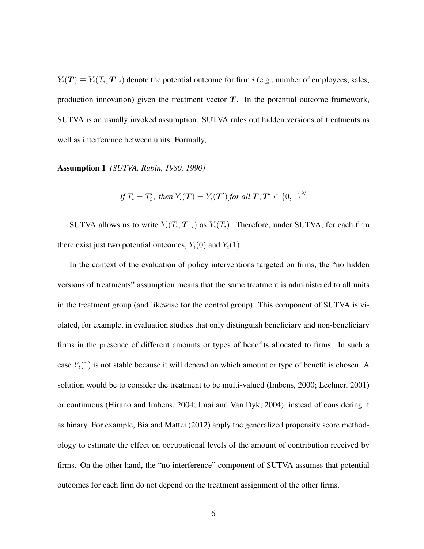$Y_i(T) \equiv Y_i(T_i, T_{-i})$  denote the potential outcome for firm i (e.g., number of employees, sales, production innovation) given the treatment vector  $T$ . In the potential outcome framework, SUTVA is an usually invoked assumption. SUTVA rules out hidden versions of treatments as well as interference between units. Formally,

Assumption 1 *(SUTVA, Rubin, 1980, 1990)*

If 
$$
T_i = T'_i
$$
, then  $Y_i(\mathbf{T}) = Y_i(\mathbf{T}')$  for all  $\mathbf{T}, \mathbf{T}' \in \{0, 1\}^N$ 

SUTVA allows us to write  $Y_i(T_i, T_{-i})$  as  $Y_i(T_i)$ . Therefore, under SUTVA, for each firm there exist just two potential outcomes,  $Y_i(0)$  and  $Y_i(1)$ .

In the context of the evaluation of policy interventions targeted on firms, the "no hidden versions of treatments" assumption means that the same treatment is administered to all units in the treatment group (and likewise for the control group). This component of SUTVA is violated, for example, in evaluation studies that only distinguish beneficiary and non-beneficiary firms in the presence of different amounts or types of benefits allocated to firms. In such a case  $Y_i(1)$  is not stable because it will depend on which amount or type of benefit is chosen. A solution would be to consider the treatment to be multi-valued (Imbens, 2000; Lechner, 2001) or continuous (Hirano and Imbens, 2004; Imai and Van Dyk, 2004), instead of considering it as binary. For example, Bia and Mattei (2012) apply the generalized propensity score methodology to estimate the effect on occupational levels of the amount of contribution received by firms. On the other hand, the "no interference" component of SUTVA assumes that potential outcomes for each firm do not depend on the treatment assignment of the other firms.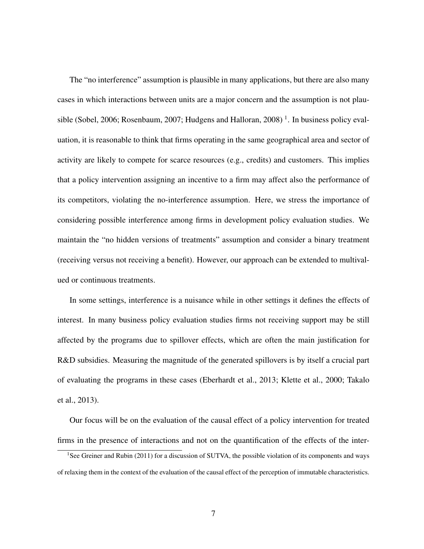The "no interference" assumption is plausible in many applications, but there are also many cases in which interactions between units are a major concern and the assumption is not plausible (Sobel, 2006; Rosenbaum, 2007; Hudgens and Halloran, 2008)<sup>1</sup>. In business policy evaluation, it is reasonable to think that firms operating in the same geographical area and sector of activity are likely to compete for scarce resources (e.g., credits) and customers. This implies that a policy intervention assigning an incentive to a firm may affect also the performance of its competitors, violating the no-interference assumption. Here, we stress the importance of considering possible interference among firms in development policy evaluation studies. We maintain the "no hidden versions of treatments" assumption and consider a binary treatment (receiving versus not receiving a benefit). However, our approach can be extended to multivalued or continuous treatments.

In some settings, interference is a nuisance while in other settings it defines the effects of interest. In many business policy evaluation studies firms not receiving support may be still affected by the programs due to spillover effects, which are often the main justification for R&D subsidies. Measuring the magnitude of the generated spillovers is by itself a crucial part of evaluating the programs in these cases (Eberhardt et al., 2013; Klette et al., 2000; Takalo et al., 2013).

Our focus will be on the evaluation of the causal effect of a policy intervention for treated firms in the presence of interactions and not on the quantification of the effects of the inter-

<sup>&</sup>lt;sup>1</sup>See Greiner and Rubin (2011) for a discussion of SUTVA, the possible violation of its components and ways of relaxing them in the context of the evaluation of the causal effect of the perception of immutable characteristics.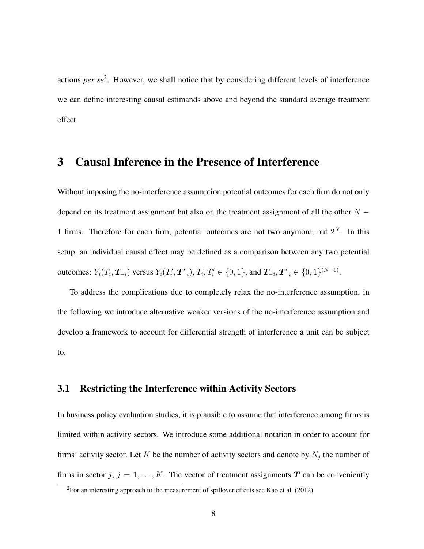actions *per se*<sup>2</sup>. However, we shall notice that by considering different levels of interference we can define interesting causal estimands above and beyond the standard average treatment effect.

## 3 Causal Inference in the Presence of Interference

Without imposing the no-interference assumption potential outcomes for each firm do not only depend on its treatment assignment but also on the treatment assignment of all the other  $N -$ 1 firms. Therefore for each firm, potential outcomes are not two anymore, but  $2^N$ . In this setup, an individual causal effect may be defined as a comparison between any two potential outcomes:  $Y_i(T_i, \boldsymbol{T}_{-i})$  versus  $Y_i(T_i')$  $T'_{i}, T'_{-i}$ ,  $T_{i}, T'_{i} \in \{0, 1\}$ , and  $T_{-i}, T'_{-i} \in \{0, 1\}^{(N-1)}$ .

To address the complications due to completely relax the no-interference assumption, in the following we introduce alternative weaker versions of the no-interference assumption and develop a framework to account for differential strength of interference a unit can be subject to.

### 3.1 Restricting the Interference within Activity Sectors

In business policy evaluation studies, it is plausible to assume that interference among firms is limited within activity sectors. We introduce some additional notation in order to account for firms' activity sector. Let K be the number of activity sectors and denote by  $N_j$  the number of firms in sector j,  $j = 1, ..., K$ . The vector of treatment assignments T can be conveniently

 ${}^{2}$ For an interesting approach to the measurement of spillover effects see Kao et al. (2012)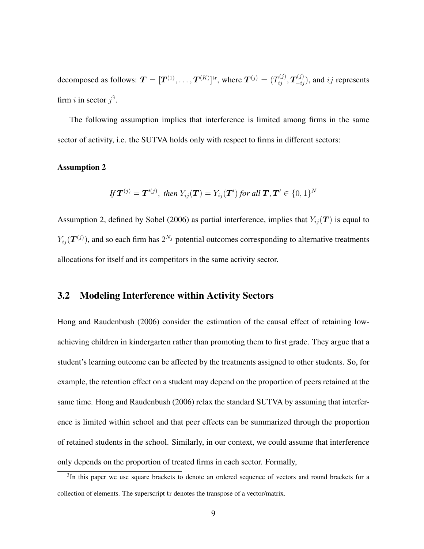decomposed as follows:  $\bm{T}=[\bm{T}^{(1)},\ldots,\bm{T}^{(K)}]^{\text{tr}},$  where  $\bm{T}^{(j)}=(T_{ij}^{(j)},\bm{T}_{-ij}^{(j)}),$  and  $ij$  represents firm *i* in sector  $j^3$ .

The following assumption implies that interference is limited among firms in the same sector of activity, i.e. the SUTVA holds only with respect to firms in different sectors:

#### Assumption 2

If 
$$
T^{(j)} = T'^{(j)}
$$
, then  $Y_{ij}(T) = Y_{ij}(T')$  for all  $T, T' \in \{0, 1\}^N$ 

Assumption 2, defined by Sobel (2006) as partial interference, implies that  $Y_{ij}(\mathbf{T})$  is equal to  $Y_{ij}(\bm{T}^{(j)}),$  and so each firm has  $2^{N_j}$  potential outcomes corresponding to alternative treatments allocations for itself and its competitors in the same activity sector.

### 3.2 Modeling Interference within Activity Sectors

Hong and Raudenbush (2006) consider the estimation of the causal effect of retaining lowachieving children in kindergarten rather than promoting them to first grade. They argue that a student's learning outcome can be affected by the treatments assigned to other students. So, for example, the retention effect on a student may depend on the proportion of peers retained at the same time. Hong and Raudenbush (2006) relax the standard SUTVA by assuming that interference is limited within school and that peer effects can be summarized through the proportion of retained students in the school. Similarly, in our context, we could assume that interference only depends on the proportion of treated firms in each sector. Formally,

<sup>&</sup>lt;sup>3</sup>In this paper we use square brackets to denote an ordered sequence of vectors and round brackets for a collection of elements. The superscript tr denotes the transpose of a vector/matrix.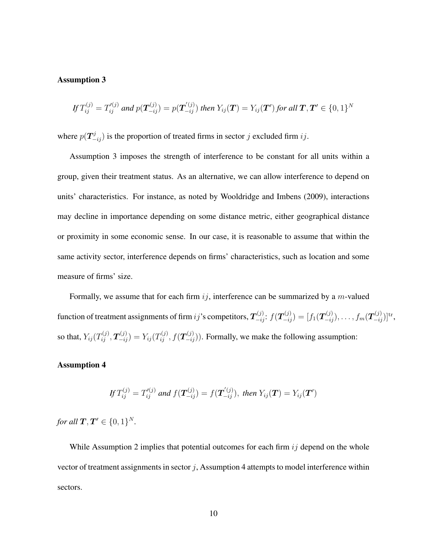#### Assumption 3

$$
If T_{ij}^{(j)} = T_{ij}^{'(j)} \text{ and } p(\mathbf{T}_{-ij}^{(j)}) = p(\mathbf{T}_{-ij}^{'(j)}) \text{ then } Y_{ij}(\mathbf{T}) = Y_{ij}(\mathbf{T}') \text{ for all } \mathbf{T}, \mathbf{T}' \in \{0, 1\}^N
$$

where  $p(\mathbf{T}_{-ij}^j)$  is the proportion of treated firms in sector j excluded firm ij.

Assumption 3 imposes the strength of interference to be constant for all units within a group, given their treatment status. As an alternative, we can allow interference to depend on units' characteristics. For instance, as noted by Wooldridge and Imbens (2009), interactions may decline in importance depending on some distance metric, either geographical distance or proximity in some economic sense. In our case, it is reasonable to assume that within the same activity sector, interference depends on firms' characteristics, such as location and some measure of firms' size.

Formally, we assume that for each firm  $ij$ , interference can be summarized by a m-valued function of treatment assignments of firm  $ij$ 's competitors,  $\bm{T}_{-ij}^{(j)}$ :  $f(\bm{T}_{-ij}^{(j)}) = [f_1(\bm{T}_{-ij}^{(j)}), \ldots, f_m(\bm{T}_{-ij}^{(j)})]^{\text{tr}}$ , so that,  $Y_{ij}(T_{ij}^{(j)}, T_{-ij}^{(j)}) = Y_{ij}(T_{ij}^{(j)}, f(T_{-ij}^{(j)}))$ . Formally, we make the following assumption:

#### Assumption 4

If 
$$
T_{ij}^{(j)} = T'_{ij}
$$
 and  $f(\mathbf{T}_{-ij}^{(j)}) = f(\mathbf{T}'_{-ij})$ , then  $Y_{ij}(\mathbf{T}) = Y_{ij}(\mathbf{T}')$ 

*for all*  $T, T' \in \{0, 1\}^N$ *.* 

While Assumption 2 implies that potential outcomes for each firm  $ij$  depend on the whole vector of treatment assignments in sector  $j$ , Assumption 4 attempts to model interference within sectors.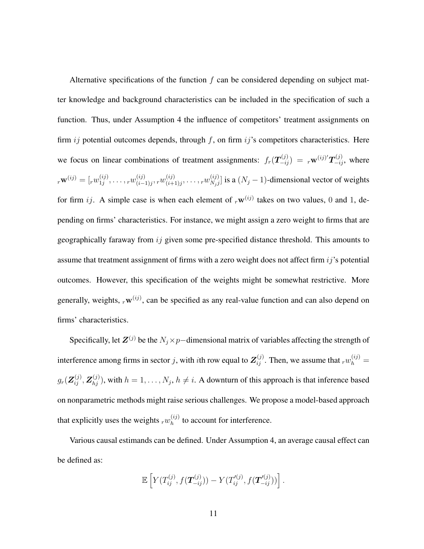Alternative specifications of the function  $f$  can be considered depending on subject matter knowledge and background characteristics can be included in the specification of such a function. Thus, under Assumption 4 the influence of competitors' treatment assignments on firm  $ij$  potential outcomes depends, through  $f$ , on firm  $ij$ 's competitors characteristics. Here we focus on linear combinations of treatment assignments:  $f_r(\bm{T}_{-ij}^{(j)}) = r^{\mathbf{w}^{(ij)'}\bm{T}_{-ij}^{(j)}}$ , where  $r^{\mathbf{W}}^{(ij)} = [r w^{(ij)}_{1j}]$  $_{1j}^{(ij)},\ldots,$   $_{r}w_{(i-)}^{(ij)}$  $\begin{smallmatrix} (ij)\ (i-1)j\end{smallmatrix}, r w^{(ij)}_{(i+1)}$  $\stackrel{(ij)}{_{(i+1)j}},\ldots,\stackrel{(ij)}{_{N_jj}}$  $\binom{N_j}{N_j j}$  is a  $(N_j - 1)$ -dimensional vector of weights for firm ij. A simple case is when each element of  $_{r}\mathbf{w}^{(ij)}$  takes on two values, 0 and 1, depending on firms' characteristics. For instance, we might assign a zero weight to firms that are geographically faraway from ij given some pre-specified distance threshold. This amounts to assume that treatment assignment of firms with a zero weight does not affect firm  $ij$ 's potential outcomes. However, this specification of the weights might be somewhat restrictive. More generally, weights,  ${}_{r}\mathbf{w}^{(ij)}$ , can be specified as any real-value function and can also depend on firms' characteristics.

Specifically, let  $\mathbf{Z}^{(j)}$  be the  $N_j \times p$ −dimensional matrix of variables affecting the strength of interference among firms in sector j, with ith row equal to  $\mathbf{Z}_{ij}^{(j)}$ . Then, we assume that  $_{r}w_{h}^{(ij)}$  =  $g_r(\mathbf{Z}_{ij}^{(j)},\mathbf{Z}_{hj}^{(j)})$ , with  $h=1,\ldots,N_j,$   $h\neq i$ . A downturn of this approach is that inference based on nonparametric methods might raise serious challenges. We propose a model-based approach that explicitly uses the weights  $_{r}w_{h}^{(ij)}$  $h^{(ij)}_h$  to account for interference.

Various causal estimands can be defined. Under Assumption 4, an average causal effect can be defined as:

$$
\mathbb{E}\left[Y(T_{ij}^{(j)},f(\mathbf{T}_{-ij}^{(j)})) - Y(T_{ij}'^{(j)},f(\mathbf{T}_{-ij}'^{(j)}))\right].
$$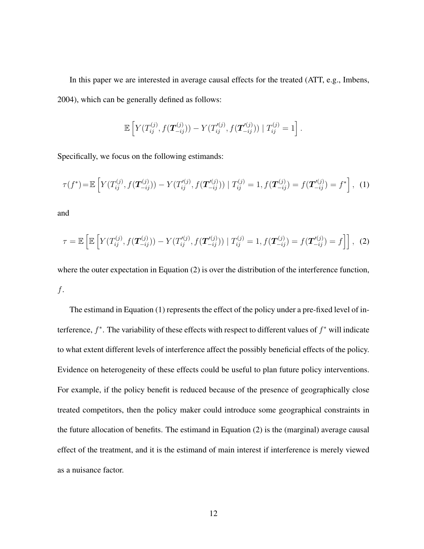In this paper we are interested in average causal effects for the treated (ATT, e.g., Imbens, 2004), which can be generally defined as follows:

$$
\mathbb{E}\left[Y(T_{ij}^{(j)}, f(\mathbf{T}_{-ij}^{(j)})) - Y(T_{ij}^{\prime(j)}, f(\mathbf{T}_{-ij}^{\prime(j)})) | T_{ij}^{(j)} = 1\right].
$$

Specifically, we focus on the following estimands:

$$
\tau(f^*) = \mathbb{E}\left[Y(T_{ij}^{(j)}, f(\mathbf{T}_{-ij}^{(j)})) - Y(T_{ij}^{'(j)}, f(\mathbf{T}_{-ij}^{'(j)})) | T_{ij}^{(j)} = 1, f(\mathbf{T}_{-ij}^{(j)}) = f(\mathbf{T}_{-ij}^{'(j)}) = f^*\right], \tag{1}
$$

and

$$
\tau = \mathbb{E}\left[\mathbb{E}\left[Y(T_{ij}^{(j)}, f(\mathbf{T}_{-ij}^{(j)})) - Y(T_{ij}^{'(j)}, f(\mathbf{T}_{-ij}^{'(j)})) | T_{ij}^{(j)} = 1, f(\mathbf{T}_{-ij}^{(j)}) = f(\mathbf{T}_{-ij}^{'(j)}) = f\right]\right], (2)
$$

where the outer expectation in Equation (2) is over the distribution of the interference function, f.

The estimand in Equation (1) represents the effect of the policy under a pre-fixed level of interference,  $f^*$ . The variability of these effects with respect to different values of  $f^*$  will indicate to what extent different levels of interference affect the possibly beneficial effects of the policy. Evidence on heterogeneity of these effects could be useful to plan future policy interventions. For example, if the policy benefit is reduced because of the presence of geographically close treated competitors, then the policy maker could introduce some geographical constraints in the future allocation of benefits. The estimand in Equation (2) is the (marginal) average causal effect of the treatment, and it is the estimand of main interest if interference is merely viewed as a nuisance factor.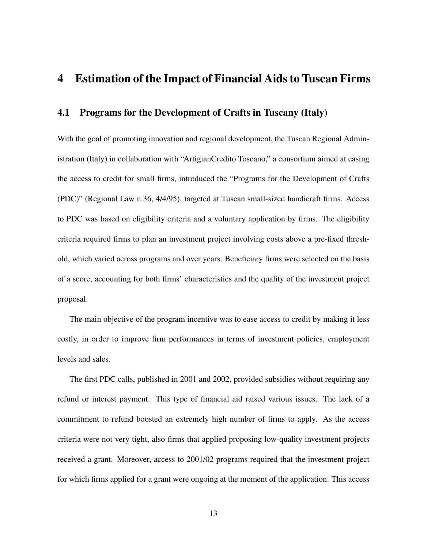### 4 Estimation of the Impact of Financial Aids to Tuscan Firms

### 4.1 Programs for the Development of Crafts in Tuscany (Italy)

With the goal of promoting innovation and regional development, the Tuscan Regional Administration (Italy) in collaboration with "ArtigianCredito Toscano," a consortium aimed at easing the access to credit for small firms, introduced the "Programs for the Development of Crafts (PDC)" (Regional Law n.36, 4/4/95), targeted at Tuscan small-sized handicraft firms. Access to PDC was based on eligibility criteria and a voluntary application by firms. The eligibility criteria required firms to plan an investment project involving costs above a pre-fixed threshold, which varied across programs and over years. Beneficiary firms were selected on the basis of a score, accounting for both firms' characteristics and the quality of the investment project proposal.

The main objective of the program incentive was to ease access to credit by making it less costly, in order to improve firm performances in terms of investment policies, employment levels and sales.

The first PDC calls, published in 2001 and 2002, provided subsidies without requiring any refund or interest payment. This type of financial aid raised various issues. The lack of a commitment to refund boosted an extremely high number of firms to apply. As the access criteria were not very tight, also firms that applied proposing low-quality investment projects received a grant. Moreover, access to 2001/02 programs required that the investment project for which firms applied for a grant were ongoing at the moment of the application. This access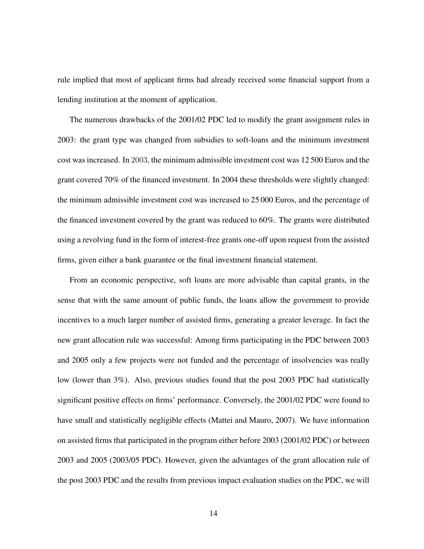rule implied that most of applicant firms had already received some financial support from a lending institution at the moment of application.

The numerous drawbacks of the 2001/02 PDC led to modify the grant assignment rules in 2003: the grant type was changed from subsidies to soft-loans and the minimum investment cost was increased. In 2003, the minimum admissible investment cost was 12 500 Euros and the grant covered 70% of the financed investment. In 2004 these thresholds were slightly changed: the minimum admissible investment cost was increased to 25 000 Euros, and the percentage of the financed investment covered by the grant was reduced to 60%. The grants were distributed using a revolving fund in the form of interest-free grants one-off upon request from the assisted firms, given either a bank guarantee or the final investment financial statement.

From an economic perspective, soft loans are more advisable than capital grants, in the sense that with the same amount of public funds, the loans allow the government to provide incentives to a much larger number of assisted firms, generating a greater leverage. In fact the new grant allocation rule was successful: Among firms participating in the PDC between 2003 and 2005 only a few projects were not funded and the percentage of insolvencies was really low (lower than 3%). Also, previous studies found that the post 2003 PDC had statistically significant positive effects on firms' performance. Conversely, the 2001/02 PDC were found to have small and statistically negligible effects (Mattei and Mauro, 2007). We have information on assisted firms that participated in the program either before 2003 (2001/02 PDC) or between 2003 and 2005 (2003/05 PDC). However, given the advantages of the grant allocation rule of the post 2003 PDC and the results from previous impact evaluation studies on the PDC, we will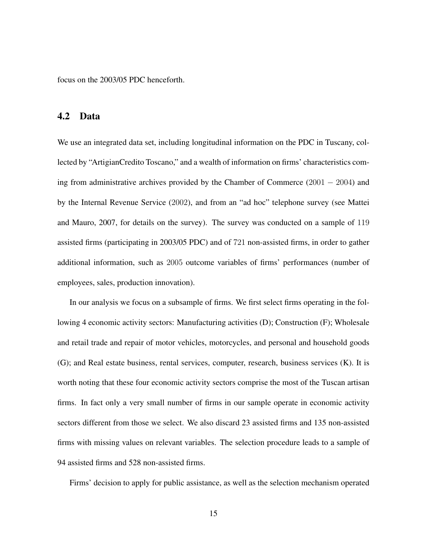focus on the 2003/05 PDC henceforth.

#### 4.2 Data

We use an integrated data set, including longitudinal information on the PDC in Tuscany, collected by "ArtigianCredito Toscano," and a wealth of information on firms' characteristics coming from administrative archives provided by the Chamber of Commerce (2001 − 2004) and by the Internal Revenue Service (2002), and from an "ad hoc" telephone survey (see Mattei and Mauro, 2007, for details on the survey). The survey was conducted on a sample of 119 assisted firms (participating in 2003/05 PDC) and of 721 non-assisted firms, in order to gather additional information, such as 2005 outcome variables of firms' performances (number of employees, sales, production innovation).

In our analysis we focus on a subsample of firms. We first select firms operating in the following 4 economic activity sectors: Manufacturing activities (D); Construction (F); Wholesale and retail trade and repair of motor vehicles, motorcycles, and personal and household goods (G); and Real estate business, rental services, computer, research, business services (K). It is worth noting that these four economic activity sectors comprise the most of the Tuscan artisan firms. In fact only a very small number of firms in our sample operate in economic activity sectors different from those we select. We also discard 23 assisted firms and 135 non-assisted firms with missing values on relevant variables. The selection procedure leads to a sample of 94 assisted firms and 528 non-assisted firms.

Firms' decision to apply for public assistance, as well as the selection mechanism operated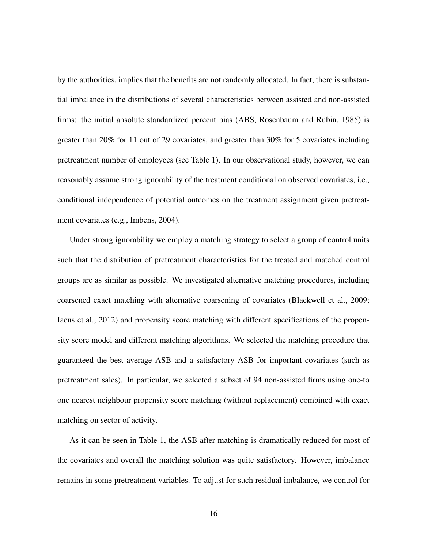by the authorities, implies that the benefits are not randomly allocated. In fact, there is substantial imbalance in the distributions of several characteristics between assisted and non-assisted firms: the initial absolute standardized percent bias (ABS, Rosenbaum and Rubin, 1985) is greater than 20% for 11 out of 29 covariates, and greater than 30% for 5 covariates including pretreatment number of employees (see Table 1). In our observational study, however, we can reasonably assume strong ignorability of the treatment conditional on observed covariates, i.e., conditional independence of potential outcomes on the treatment assignment given pretreatment covariates (e.g., Imbens, 2004).

Under strong ignorability we employ a matching strategy to select a group of control units such that the distribution of pretreatment characteristics for the treated and matched control groups are as similar as possible. We investigated alternative matching procedures, including coarsened exact matching with alternative coarsening of covariates (Blackwell et al., 2009; Iacus et al., 2012) and propensity score matching with different specifications of the propensity score model and different matching algorithms. We selected the matching procedure that guaranteed the best average ASB and a satisfactory ASB for important covariates (such as pretreatment sales). In particular, we selected a subset of 94 non-assisted firms using one-to one nearest neighbour propensity score matching (without replacement) combined with exact matching on sector of activity.

As it can be seen in Table 1, the ASB after matching is dramatically reduced for most of the covariates and overall the matching solution was quite satisfactory. However, imbalance remains in some pretreatment variables. To adjust for such residual imbalance, we control for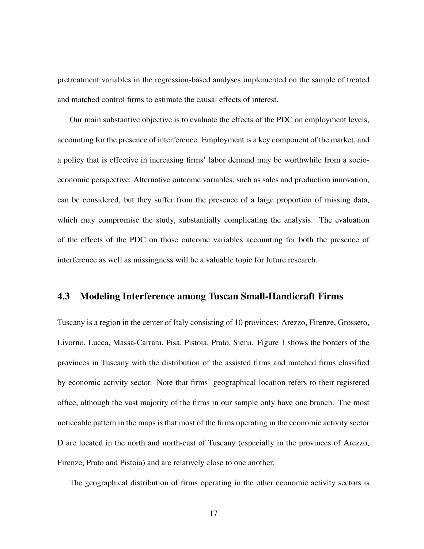pretreatment variables in the regression-based analyses implemented on the sample of treated and matched control firms to estimate the causal effects of interest.

Our main substantive objective is to evaluate the effects of the PDC on employment levels, accounting for the presence of interference. Employment is a key component of the market, and a policy that is effective in increasing firms' labor demand may be worthwhile from a socioeconomic perspective. Alternative outcome variables, such as sales and production innovation, can be considered, but they suffer from the presence of a large proportion of missing data, which may compromise the study, substantially complicating the analysis. The evaluation of the effects of the PDC on those outcome variables accounting for both the presence of interference as well as missingness will be a valuable topic for future research.

#### 4.3 Modeling Interference among Tuscan Small-Handicraft Firms

Tuscany is a region in the center of Italy consisting of 10 provinces: Arezzo, Firenze, Grosseto, Livorno, Lucca, Massa-Carrara, Pisa, Pistoia, Prato, Siena. Figure 1 shows the borders of the provinces in Tuscany with the distribution of the assisted firms and matched firms classified by economic activity sector. Note that firms' geographical location refers to their registered office, although the vast majority of the firms in our sample only have one branch. The most noticeable pattern in the maps is that most of the firms operating in the economic activity sector D are located in the north and north-east of Tuscany (especially in the provinces of Arezzo, Firenze, Prato and Pistoia) and are relatively close to one another.

The geographical distribution of firms operating in the other economic activity sectors is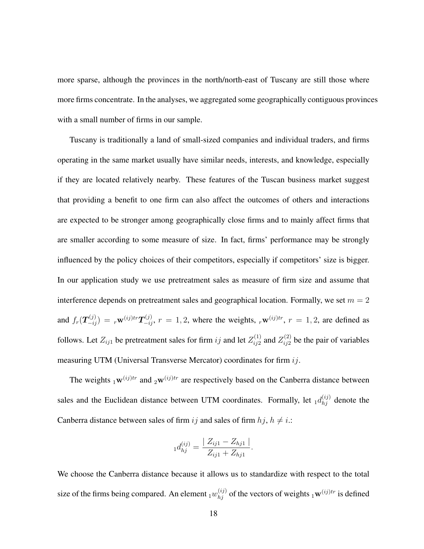more sparse, although the provinces in the north/north-east of Tuscany are still those where more firms concentrate. In the analyses, we aggregated some geographically contiguous provinces with a small number of firms in our sample.

Tuscany is traditionally a land of small-sized companies and individual traders, and firms operating in the same market usually have similar needs, interests, and knowledge, especially if they are located relatively nearby. These features of the Tuscan business market suggest that providing a benefit to one firm can also affect the outcomes of others and interactions are expected to be stronger among geographically close firms and to mainly affect firms that are smaller according to some measure of size. In fact, firms' performance may be strongly influenced by the policy choices of their competitors, especially if competitors' size is bigger. In our application study we use pretreatment sales as measure of firm size and assume that interference depends on pretreatment sales and geographical location. Formally, we set  $m = 2$ and  $f_r(\bm{T}_{-ij}^{(j)}) = r^{\mathbf{w}^{(ij)tr}} \bm{T}_{-ij}^{(j)}$ ,  $r = 1, 2$ , where the weights,  $_r\mathbf{w}^{(ij)tr}$ ,  $r = 1, 2$ , are defined as follows. Let  $Z_{ij1}$  be pretreatment sales for firm  $ij$  and let  $Z_{ij2}^{(1)}$  $\chi_{ij2}^{(1)}$  and  $Z_{ij2}^{(2)}$  $i_{ij2}^{(2)}$  be the pair of variables measuring UTM (Universal Transverse Mercator) coordinates for firm ij.

The weights  $1^{w(ij)tr}$  and  $2^{w(ij)tr}$  are respectively based on the Canberra distance between sales and the Euclidean distance between UTM coordinates. Formally, let  $_1d_{hj}^{(ij)}$  denote the Canberra distance between sales of firm ij and sales of firm  $hj$ ,  $h \neq i$ .:

$$
_1d_{hj}^{(ij)} = \frac{|Z_{ij1} - Z_{hj1}|}{Z_{ij1} + Z_{hj1}}.
$$

We choose the Canberra distance because it allows us to standardize with respect to the total size of the firms being compared. An element  $_1w_{hj}^{(ij)}$  of the vectors of weights  $_1\mathbf{w}^{(ij)tr}$  is defined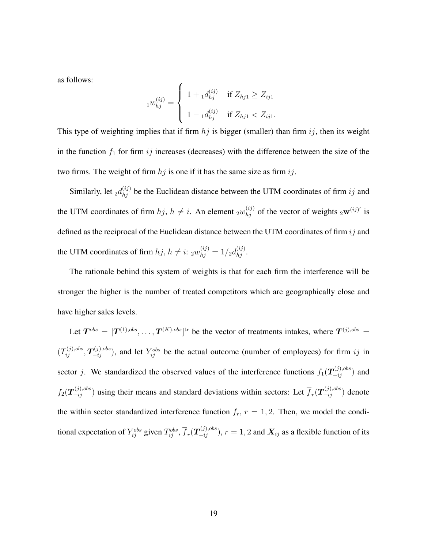as follows:

$$
{}_{1}w_{hj}^{(ij)} = \begin{cases} 1 + {}_{1}d_{hj}^{(ij)} & \text{if } Z_{hj1} \geq Z_{ij1} \\ 1 - {}_{1}d_{hj}^{(ij)} & \text{if } Z_{hj1} < Z_{ij1}. \end{cases}
$$

This type of weighting implies that if firm  $hj$  is bigger (smaller) than firm  $ij$ , then its weight in the function  $f_1$  for firm ij increases (decreases) with the difference between the size of the two firms. The weight of firm  $hj$  is one if it has the same size as firm  $ij$ .

Similarly, let  $_2d_{hj}^{(ij)}$  be the Euclidean distance between the UTM coordinates of firm  $ij$  and the UTM coordinates of firm  $hj$ ,  $h \neq i$ . An element  $_2w_{hj}^{(ij)}$  of the vector of weights  $_2\mathbf{w}^{(ij)'}$  is defined as the reciprocal of the Euclidean distance between the UTM coordinates of firm  $ij$  and the UTM coordinates of firm  $hj$ ,  $h \neq i$ :  $_2w_{hj}^{(ij)} = 1/2d_{hj}^{(ij)}$ .

The rationale behind this system of weights is that for each firm the interference will be stronger the higher is the number of treated competitors which are geographically close and have higher sales levels.

Let  $T^{obs} = [T^{(1),obs}, \dots, T^{(K),obs}]^{\text{tr}}$  be the vector of treatments intakes, where  $T^{(j),obs} =$  $(T_{ij}^{(j),obs}, T_{-ij}^{(j),obs})$ , and let  $Y_{ij}^{obs}$  be the actual outcome (number of employees) for firm ij in sector j. We standardized the observed values of the interference functions  $f_1(\mathbf{T}_{-ij}^{(j),obs})$  and  $f_2(\bm{T}_{-ij}^{(j),obs})$  using their means and standard deviations within sectors: Let  $\overline{f}_r(\bm{T}_{-ij}^{(j),obs})$  denote the within sector standardized interference function  $f_r$ ,  $r = 1, 2$ . Then, we model the conditional expectation of  $Y_{ij}^{obs}$  given  $T_{ij}^{obs}$ ,  $\overline{f}_r(T_{-ij}^{(j),obs})$ ,  $r=1,2$  and  $\bm{X}_{ij}$  as a flexible function of its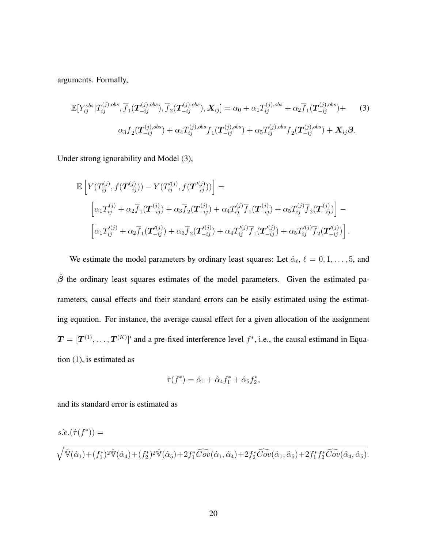arguments. Formally,

$$
\mathbb{E}[Y_{ij}^{obs}|T_{ij}^{(j),obs},\overline{f}_1(\mathbf{T}_{-ij}^{(j),obs}),\overline{f}_2(\mathbf{T}_{-ij}^{(j),obs}),\mathbf{X}_{ij}] = \alpha_0 + \alpha_1 T_{ij}^{(j),obs} + \alpha_2 \overline{f}_1(\mathbf{T}_{-ij}^{(j),obs}) + \alpha_3 \overline{f}_2(\mathbf{T}_{-ij}^{(j),obs}) + \alpha_4 T_{ij}^{(j),obs} \overline{f}_1(\mathbf{T}_{-ij}^{(j),obs}) + \alpha_5 T_{ij}^{(j),obs} \overline{f}_2(\mathbf{T}_{-ij}^{(j),obs}) + \mathbf{X}_{ij} \beta.
$$
\n(3)

Under strong ignorability and Model (3),

$$
\mathbb{E}\left[Y(T_{ij}^{(j)},f(\mathbf{T}_{-ij}^{(j)})) - Y(T_{ij}^{(j)},f(\mathbf{T}_{-ij}^{(j)}))\right] =
$$
\n
$$
\left[\alpha_1 T_{ij}^{(j)} + \alpha_2 \overline{f}_1(\mathbf{T}_{-ij}^{(j)}) + \alpha_3 \overline{f}_2(\mathbf{T}_{-ij}^{(j)}) + \alpha_4 T_{ij}^{(j)} \overline{f}_1(\mathbf{T}_{-ij}^{(j)}) + \alpha_5 T_{ij}^{(j)} \overline{f}_2(\mathbf{T}_{-ij}^{(j)})\right] -
$$
\n
$$
\left[\alpha_1 T_{ij}^{(j)} + \alpha_2 \overline{f}_1(\mathbf{T}_{-ij}^{(j)}) + \alpha_3 \overline{f}_2(\mathbf{T}_{-ij}^{(j)}) + \alpha_4 T_{ij}^{(j)} \overline{f}_1(\mathbf{T}_{-ij}^{(j)}) + \alpha_5 T_{ij}^{(j)} \overline{f}_2(\mathbf{T}_{-ij}^{(j)})\right].
$$

We estimate the model parameters by ordinary least squares: Let  $\hat{\alpha}_{\ell}, \ell = 0, 1, \ldots, 5$ , and  $\hat{\beta}$  the ordinary least squares estimates of the model parameters. Given the estimated parameters, causal effects and their standard errors can be easily estimated using the estimating equation. For instance, the average causal effect for a given allocation of the assignment  $T = [T^{(1)}, \ldots, T^{(K)}]$  and a pre-fixed interference level  $f^*$ , i.e., the causal estimand in Equation (1), is estimated as

$$
\hat{\tau}(f^*) = \hat{\alpha}_1 + \hat{\alpha}_4 f_1^* + \hat{\alpha}_5 f_2^*,
$$

and its standard error is estimated as

$$
s.\hat{e}.(\hat{\tau}(f^*)) = \sqrt{\hat{V}(\hat{\alpha}_1) + (f_1^*)^2 \hat{V}(\hat{\alpha}_4) + (f_2^*)^2 \hat{V}(\hat{\alpha}_5) + 2f_1^* \widehat{Cov}(\hat{\alpha}_1, \hat{\alpha}_4) + 2f_2^* \widehat{Cov}(\hat{\alpha}_1, \hat{\alpha}_5) + 2f_1^* f_2^* \widehat{Cov}(\hat{\alpha}_4, \hat{\alpha}_5)}.
$$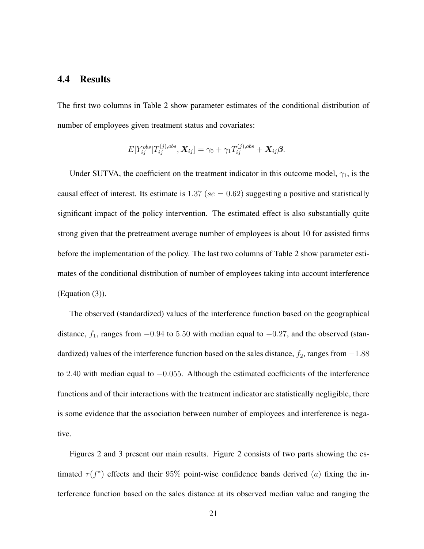#### 4.4 Results

The first two columns in Table 2 show parameter estimates of the conditional distribution of number of employees given treatment status and covariates:

$$
E[Y_{ij}^{obs}|T_{ij}^{(j),obs}, \mathbf{X}_{ij}] = \gamma_0 + \gamma_1 T_{ij}^{(j),obs} + \mathbf{X}_{ij} \boldsymbol{\beta}.
$$

Under SUTVA, the coefficient on the treatment indicator in this outcome model,  $\gamma_1$ , is the causal effect of interest. Its estimate is 1.37 ( $se = 0.62$ ) suggesting a positive and statistically significant impact of the policy intervention. The estimated effect is also substantially quite strong given that the pretreatment average number of employees is about 10 for assisted firms before the implementation of the policy. The last two columns of Table 2 show parameter estimates of the conditional distribution of number of employees taking into account interference (Equation (3)).

The observed (standardized) values of the interference function based on the geographical distance,  $f_1$ , ranges from  $-0.94$  to 5.50 with median equal to  $-0.27$ , and the observed (standardized) values of the interference function based on the sales distance,  $f_2$ , ranges from  $-1.88$ to 2.40 with median equal to −0.055. Although the estimated coefficients of the interference functions and of their interactions with the treatment indicator are statistically negligible, there is some evidence that the association between number of employees and interference is negative.

Figures 2 and 3 present our main results. Figure 2 consists of two parts showing the estimated  $\tau(f^*)$  effects and their 95% point-wise confidence bands derived (*a*) fixing the interference function based on the sales distance at its observed median value and ranging the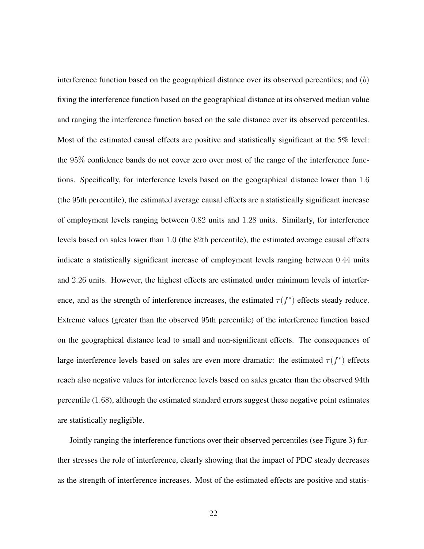interference function based on the geographical distance over its observed percentiles; and (b) fixing the interference function based on the geographical distance at its observed median value and ranging the interference function based on the sale distance over its observed percentiles. Most of the estimated causal effects are positive and statistically significant at the 5% level: the 95% confidence bands do not cover zero over most of the range of the interference functions. Specifically, for interference levels based on the geographical distance lower than 1.6 (the 95th percentile), the estimated average causal effects are a statistically significant increase of employment levels ranging between 0.82 units and 1.28 units. Similarly, for interference levels based on sales lower than 1.0 (the 82th percentile), the estimated average causal effects indicate a statistically significant increase of employment levels ranging between 0.44 units and 2.26 units. However, the highest effects are estimated under minimum levels of interference, and as the strength of interference increases, the estimated  $\tau(f^*)$  effects steady reduce. Extreme values (greater than the observed 95th percentile) of the interference function based on the geographical distance lead to small and non-significant effects. The consequences of large interference levels based on sales are even more dramatic: the estimated  $\tau(f^*)$  effects reach also negative values for interference levels based on sales greater than the observed 94th percentile (1.68), although the estimated standard errors suggest these negative point estimates are statistically negligible.

Jointly ranging the interference functions over their observed percentiles (see Figure 3) further stresses the role of interference, clearly showing that the impact of PDC steady decreases as the strength of interference increases. Most of the estimated effects are positive and statis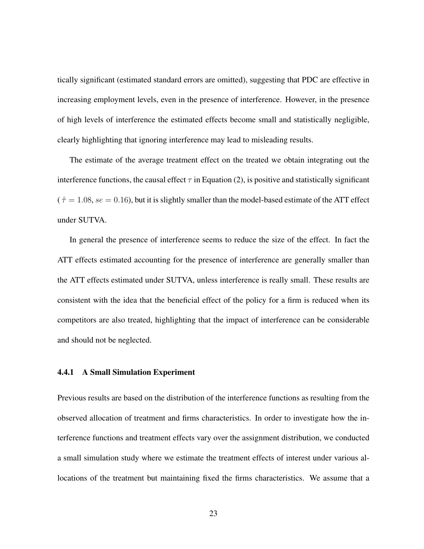tically significant (estimated standard errors are omitted), suggesting that PDC are effective in increasing employment levels, even in the presence of interference. However, in the presence of high levels of interference the estimated effects become small and statistically negligible, clearly highlighting that ignoring interference may lead to misleading results.

The estimate of the average treatment effect on the treated we obtain integrating out the interference functions, the causal effect  $\tau$  in Equation (2), is positive and statistically significant  $(\hat{\tau} = 1.08, \text{se} = 0.16)$ , but it is slightly smaller than the model-based estimate of the ATT effect under SUTVA.

In general the presence of interference seems to reduce the size of the effect. In fact the ATT effects estimated accounting for the presence of interference are generally smaller than the ATT effects estimated under SUTVA, unless interference is really small. These results are consistent with the idea that the beneficial effect of the policy for a firm is reduced when its competitors are also treated, highlighting that the impact of interference can be considerable and should not be neglected.

#### 4.4.1 A Small Simulation Experiment

Previous results are based on the distribution of the interference functions as resulting from the observed allocation of treatment and firms characteristics. In order to investigate how the interference functions and treatment effects vary over the assignment distribution, we conducted a small simulation study where we estimate the treatment effects of interest under various allocations of the treatment but maintaining fixed the firms characteristics. We assume that a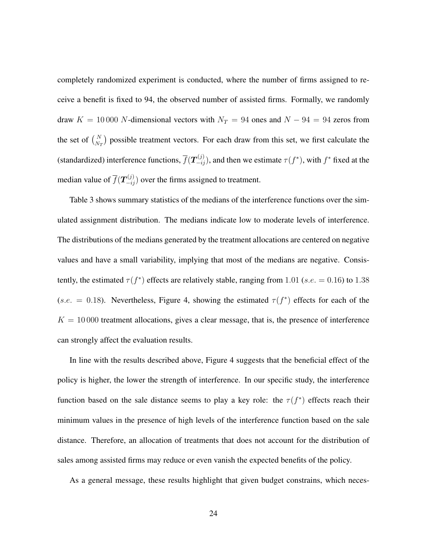completely randomized experiment is conducted, where the number of firms assigned to receive a benefit is fixed to 94, the observed number of assisted firms. Formally, we randomly draw  $K = 10000$  N-dimensional vectors with  $N_T = 94$  ones and  $N - 94 = 94$  zeros from the set of  $\binom{N}{N_T}$  possible treatment vectors. For each draw from this set, we first calculate the (standardized) interference functions,  $\overline{f}(\bm{T}_{-ij}^{(j)})$ , and then we estimate  $\tau(f^*)$ , with  $f^*$  fixed at the median value of  $\overline{f}(\boldsymbol{T}_{-ij}^{(j)})$  over the firms assigned to treatment.

Table 3 shows summary statistics of the medians of the interference functions over the simulated assignment distribution. The medians indicate low to moderate levels of interference. The distributions of the medians generated by the treatment allocations are centered on negative values and have a small variability, implying that most of the medians are negative. Consistently, the estimated  $\tau(f^*)$  effects are relatively stable, ranging from 1.01 (s.e. = 0.16) to 1.38 (s.e. = 0.18). Nevertheless, Figure 4, showing the estimated  $\tau(f^*)$  effects for each of the  $K = 10000$  treatment allocations, gives a clear message, that is, the presence of interference can strongly affect the evaluation results.

In line with the results described above, Figure 4 suggests that the beneficial effect of the policy is higher, the lower the strength of interference. In our specific study, the interference function based on the sale distance seems to play a key role: the  $\tau(f^*)$  effects reach their minimum values in the presence of high levels of the interference function based on the sale distance. Therefore, an allocation of treatments that does not account for the distribution of sales among assisted firms may reduce or even vanish the expected benefits of the policy.

As a general message, these results highlight that given budget constrains, which neces-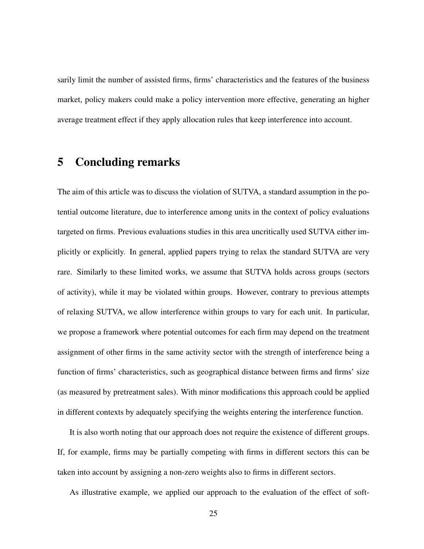sarily limit the number of assisted firms, firms' characteristics and the features of the business market, policy makers could make a policy intervention more effective, generating an higher average treatment effect if they apply allocation rules that keep interference into account.

### 5 Concluding remarks

The aim of this article was to discuss the violation of SUTVA, a standard assumption in the potential outcome literature, due to interference among units in the context of policy evaluations targeted on firms. Previous evaluations studies in this area uncritically used SUTVA either implicitly or explicitly. In general, applied papers trying to relax the standard SUTVA are very rare. Similarly to these limited works, we assume that SUTVA holds across groups (sectors of activity), while it may be violated within groups. However, contrary to previous attempts of relaxing SUTVA, we allow interference within groups to vary for each unit. In particular, we propose a framework where potential outcomes for each firm may depend on the treatment assignment of other firms in the same activity sector with the strength of interference being a function of firms' characteristics, such as geographical distance between firms and firms' size (as measured by pretreatment sales). With minor modifications this approach could be applied in different contexts by adequately specifying the weights entering the interference function.

It is also worth noting that our approach does not require the existence of different groups. If, for example, firms may be partially competing with firms in different sectors this can be taken into account by assigning a non-zero weights also to firms in different sectors.

As illustrative example, we applied our approach to the evaluation of the effect of soft-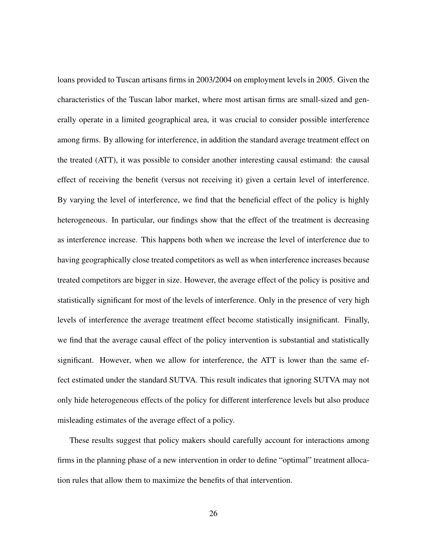loans provided to Tuscan artisans firms in 2003/2004 on employment levels in 2005. Given the characteristics of the Tuscan labor market, where most artisan firms are small-sized and generally operate in a limited geographical area, it was crucial to consider possible interference among firms. By allowing for interference, in addition the standard average treatment effect on the treated (ATT), it was possible to consider another interesting causal estimand: the causal effect of receiving the benefit (versus not receiving it) given a certain level of interference. By varying the level of interference, we find that the beneficial effect of the policy is highly heterogeneous. In particular, our findings show that the effect of the treatment is decreasing as interference increase. This happens both when we increase the level of interference due to having geographically close treated competitors as well as when interference increases because treated competitors are bigger in size. However, the average effect of the policy is positive and statistically significant for most of the levels of interference. Only in the presence of very high levels of interference the average treatment effect become statistically insignificant. Finally, we find that the average causal effect of the policy intervention is substantial and statistically significant. However, when we allow for interference, the ATT is lower than the same effect estimated under the standard SUTVA. This result indicates that ignoring SUTVA may not only hide heterogeneous effects of the policy for different interference levels but also produce misleading estimates of the average effect of a policy.

These results suggest that policy makers should carefully account for interactions among firms in the planning phase of a new intervention in order to define "optimal" treatment allocation rules that allow them to maximize the benefits of that intervention.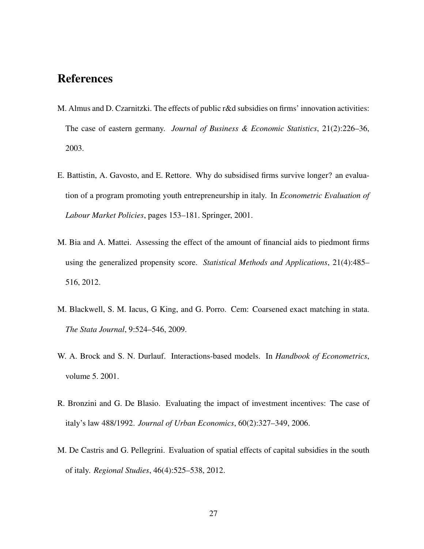# References

- M. Almus and D. Czarnitzki. The effects of public r&d subsidies on firms' innovation activities: The case of eastern germany. *Journal of Business & Economic Statistics*, 21(2):226–36, 2003.
- E. Battistin, A. Gavosto, and E. Rettore. Why do subsidised firms survive longer? an evaluation of a program promoting youth entrepreneurship in italy. In *Econometric Evaluation of Labour Market Policies*, pages 153–181. Springer, 2001.
- M. Bia and A. Mattei. Assessing the effect of the amount of financial aids to piedmont firms using the generalized propensity score. *Statistical Methods and Applications*, 21(4):485– 516, 2012.
- M. Blackwell, S. M. Iacus, G King, and G. Porro. Cem: Coarsened exact matching in stata. *The Stata Journal*, 9:524–546, 2009.
- W. A. Brock and S. N. Durlauf. Interactions-based models. In *Handbook of Econometrics*, volume 5. 2001.
- R. Bronzini and G. De Blasio. Evaluating the impact of investment incentives: The case of italy's law 488/1992. *Journal of Urban Economics*, 60(2):327–349, 2006.
- M. De Castris and G. Pellegrini. Evaluation of spatial effects of capital subsidies in the south of italy. *Regional Studies*, 46(4):525–538, 2012.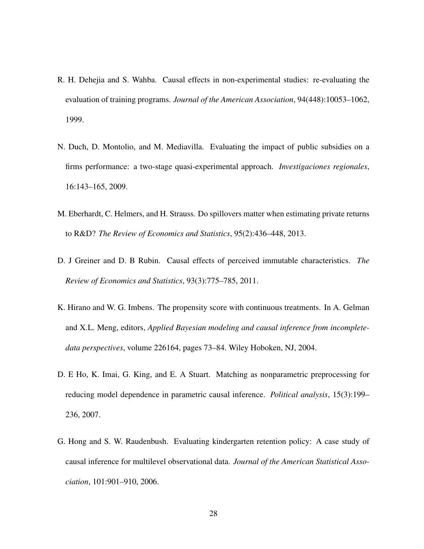- R. H. Dehejia and S. Wahba. Causal effects in non-experimental studies: re-evaluating the evaluation of training programs. *Journal of the American Association*, 94(448):10053–1062, 1999.
- N. Duch, D. Montolio, and M. Mediavilla. Evaluating the impact of public subsidies on a firms performance: a two-stage quasi-experimental approach. *Investigaciones regionales*, 16:143–165, 2009.
- M. Eberhardt, C. Helmers, and H. Strauss. Do spillovers matter when estimating private returns to R&D? *The Review of Economics and Statistics*, 95(2):436–448, 2013.
- D. J Greiner and D. B Rubin. Causal effects of perceived immutable characteristics. *The Review of Economics and Statistics*, 93(3):775–785, 2011.
- K. Hirano and W. G. Imbens. The propensity score with continuous treatments. In A. Gelman and X.L. Meng, editors, *Applied Bayesian modeling and causal inference from incompletedata perspectives*, volume 226164, pages 73–84. Wiley Hoboken, NJ, 2004.
- D. E Ho, K. Imai, G. King, and E. A Stuart. Matching as nonparametric preprocessing for reducing model dependence in parametric causal inference. *Political analysis*, 15(3):199– 236, 2007.
- G. Hong and S. W. Raudenbush. Evaluating kindergarten retention policy: A case study of causal inference for multilevel observational data. *Journal of the American Statistical Association*, 101:901–910, 2006.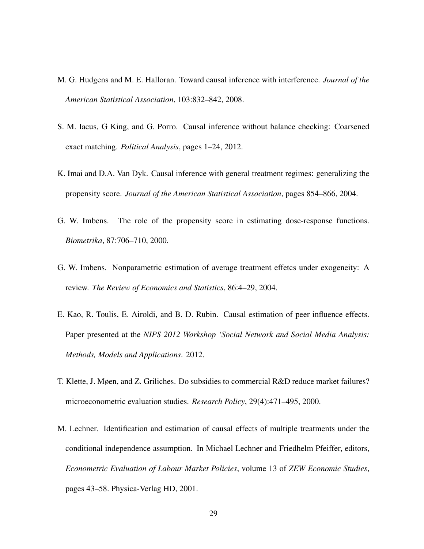- M. G. Hudgens and M. E. Halloran. Toward causal inference with interference. *Journal of the American Statistical Association*, 103:832–842, 2008.
- S. M. Iacus, G King, and G. Porro. Causal inference without balance checking: Coarsened exact matching. *Political Analysis*, pages 1–24, 2012.
- K. Imai and D.A. Van Dyk. Causal inference with general treatment regimes: generalizing the propensity score. *Journal of the American Statistical Association*, pages 854–866, 2004.
- G. W. Imbens. The role of the propensity score in estimating dose-response functions. *Biometrika*, 87:706–710, 2000.
- G. W. Imbens. Nonparametric estimation of average treatment effetcs under exogeneity: A review. *The Review of Economics and Statistics*, 86:4–29, 2004.
- E. Kao, R. Toulis, E. Airoldi, and B. D. Rubin. Causal estimation of peer influence effects. Paper presented at the *NIPS 2012 Workshop 'Social Network and Social Media Analysis: Methods, Models and Applications*. 2012.
- T. Klette, J. Møen, and Z. Griliches. Do subsidies to commercial R&D reduce market failures? microeconometric evaluation studies. *Research Policy*, 29(4):471–495, 2000.
- M. Lechner. Identification and estimation of causal effects of multiple treatments under the conditional independence assumption. In Michael Lechner and Friedhelm Pfeiffer, editors, *Econometric Evaluation of Labour Market Policies*, volume 13 of *ZEW Economic Studies*, pages 43–58. Physica-Verlag HD, 2001.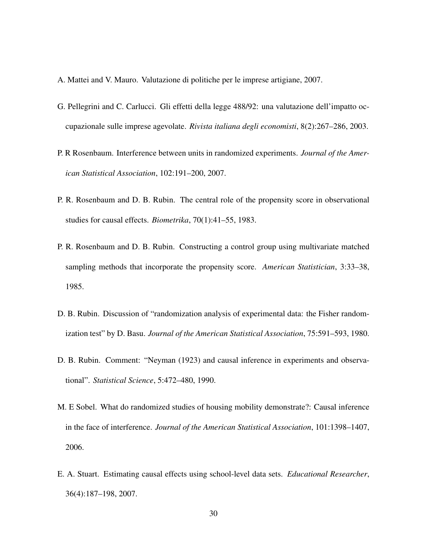- A. Mattei and V. Mauro. Valutazione di politiche per le imprese artigiane, 2007.
- G. Pellegrini and C. Carlucci. Gli effetti della legge 488/92: una valutazione dell'impatto occupazionale sulle imprese agevolate. *Rivista italiana degli economisti*, 8(2):267–286, 2003.
- P. R Rosenbaum. Interference between units in randomized experiments. *Journal of the American Statistical Association*, 102:191–200, 2007.
- P. R. Rosenbaum and D. B. Rubin. The central role of the propensity score in observational studies for causal effects. *Biometrika*, 70(1):41–55, 1983.
- P. R. Rosenbaum and D. B. Rubin. Constructing a control group using multivariate matched sampling methods that incorporate the propensity score. *American Statistician*, 3:33–38, 1985.
- D. B. Rubin. Discussion of "randomization analysis of experimental data: the Fisher randomization test" by D. Basu. *Journal of the American Statistical Association*, 75:591–593, 1980.
- D. B. Rubin. Comment: "Neyman (1923) and causal inference in experiments and observational". *Statistical Science*, 5:472–480, 1990.
- M. E Sobel. What do randomized studies of housing mobility demonstrate?: Causal inference in the face of interference. *Journal of the American Statistical Association*, 101:1398–1407, 2006.
- E. A. Stuart. Estimating causal effects using school-level data sets. *Educational Researcher*, 36(4):187–198, 2007.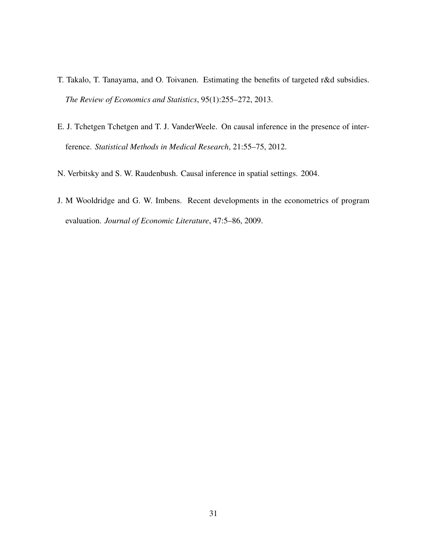- T. Takalo, T. Tanayama, and O. Toivanen. Estimating the benefits of targeted r&d subsidies. *The Review of Economics and Statistics*, 95(1):255–272, 2013.
- E. J. Tchetgen Tchetgen and T. J. VanderWeele. On causal inference in the presence of interference. *Statistical Methods in Medical Research*, 21:55–75, 2012.
- N. Verbitsky and S. W. Raudenbush. Causal inference in spatial settings. 2004.
- J. M Wooldridge and G. W. Imbens. Recent developments in the econometrics of program evaluation. *Journal of Economic Literature*, 47:5–86, 2009.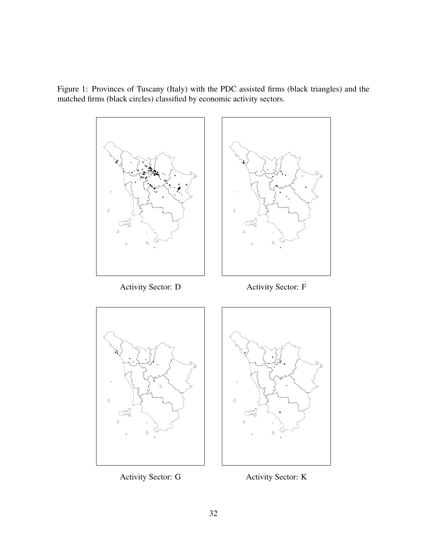Figure 1: Provinces of Tuscany (Italy) with the PDC assisted firms (black triangles) and the matched firms (black circles) classified by economic activity sectors.



Activity Sector: G Activity Sector: K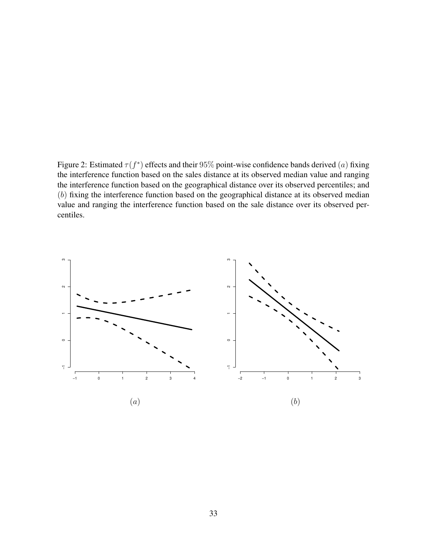Figure 2: Estimated  $\tau(f^*)$  effects and their 95% point-wise confidence bands derived  $(a)$  fixing the interference function based on the sales distance at its observed median value and ranging the interference function based on the geographical distance over its observed percentiles; and (b) fixing the interference function based on the geographical distance at its observed median value and ranging the interference function based on the sale distance over its observed percentiles.

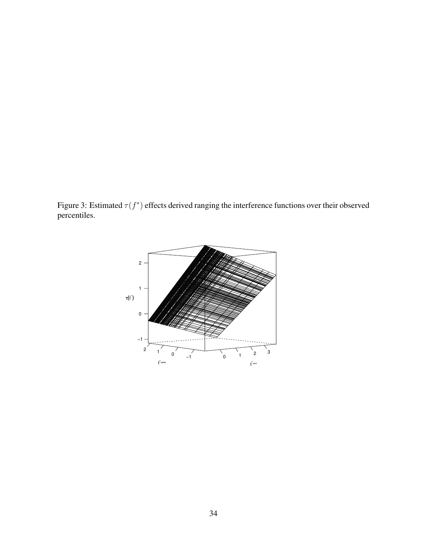Figure 3: Estimated  $\tau(f^*)$  effects derived ranging the interference functions over their observed percentiles.

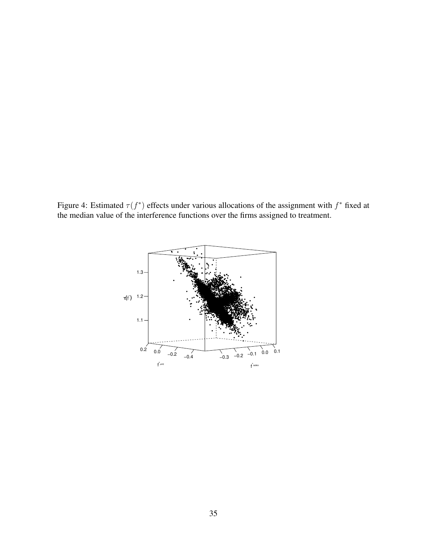Figure 4: Estimated  $\tau(f^*)$  effects under various allocations of the assignment with  $f^*$  fixed at the median value of the interference functions over the firms assigned to treatment.

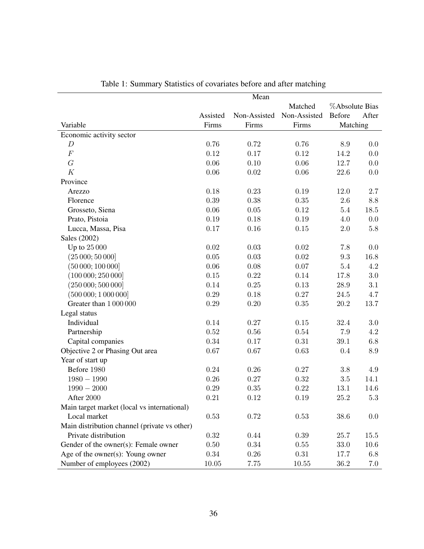|                                              | Mean     |              |              |           |                |  |
|----------------------------------------------|----------|--------------|--------------|-----------|----------------|--|
|                                              | Matched  |              |              |           | %Absolute Bias |  |
|                                              | Assisted | Non-Assisted | Non-Assisted | Before    | After          |  |
| Variable                                     | Firms    | Firms        | Firms        | Matching  |                |  |
| Economic activity sector                     |          |              |              |           |                |  |
| $\boldsymbol{D}$                             | 0.76     | 0.72         | 0.76         | 8.9       | 0.0            |  |
| $\cal F$                                     | 0.12     | 0.17         | 0.12         | 14.2      | 0.0            |  |
| G                                            | 0.06     | 0.10         | 0.06         | 12.7      | 0.0            |  |
| K                                            | 0.06     | 0.02         | $0.06\,$     | 22.6      | 0.0            |  |
| Province                                     |          |              |              |           |                |  |
| Arezzo                                       | 0.18     | 0.23         | 0.19         | $12.0\,$  | $2.7\,$        |  |
| Florence                                     | 0.39     | 0.38         | $0.35\,$     | 2.6       | 8.8            |  |
| Grosseto, Siena                              | 0.06     | 0.05         | 0.12         | 5.4       | $18.5\,$       |  |
| Prato, Pistoia                               | 0.19     | 0.18         | 0.19         | 4.0       | 0.0            |  |
| Lucca, Massa, Pisa                           | 0.17     | 0.16         | $0.15\,$     | $2.0\,$   | $5.8\,$        |  |
| Sales (2002)                                 |          |              |              |           |                |  |
| Up to 25 000                                 | $0.02\,$ | 0.03         | 0.02         | 7.8       | 0.0            |  |
| (25000; 50000]                               | 0.05     | 0.03         | $0.02\,$     | $\rm 9.3$ | $16.8\,$       |  |
| (50000; 100000]                              | 0.06     | 0.08         | 0.07         | 5.4       | 4.2            |  |
| (100000; 250000]                             | 0.15     | 0.22         | 0.14         | 17.8      | $3.0\,$        |  |
| (250000; 500000]                             | 0.14     | 0.25         | 0.13         | $28.9\,$  | 3.1            |  |
| (500000; 1000000]                            | 0.29     | 0.18         | 0.27         | 24.5      | 4.7            |  |
| Greater than 1000000                         | 0.29     | 0.20         | $0.35\,$     | $20.2\,$  | 13.7           |  |
| Legal status                                 |          |              |              |           |                |  |
| Individual                                   | 0.14     | 0.27         | 0.15         | 32.4      | $3.0\,$        |  |
| Partnership                                  | $\,0.52$ | 0.56         | 0.54         | 7.9       | 4.2            |  |
| Capital companies                            | 0.34     | 0.17         | $0.31\,$     | 39.1      | 6.8            |  |
| Objective 2 or Phasing Out area              | 0.67     | 0.67         | 0.63         | 0.4       | 8.9            |  |
| Year of start up                             |          |              |              |           |                |  |
| Before 1980                                  | 0.24     | 0.26         | $0.27\,$     | $3.8\,$   | 4.9            |  |
| $1980 - 1990$                                | 0.26     | 0.27         | $0.32\,$     | $3.5\,$   | 14.1           |  |
| $1990 - 2000$                                | 0.29     | 0.35         | 0.22         | 13.1      | 14.6           |  |
| After 2000                                   | 0.21     | 0.12         | 0.19         | 25.2      | $5.3\,$        |  |
| Main target market (local vs international)  |          |              |              |           |                |  |
| Local market                                 | 0.53     | 0.72         | 0.53         | 38.6      | 0.0            |  |
| Main distribution channel (private vs other) |          |              |              |           |                |  |
| Private distribution                         | 0.32     | 0.44         | $0.39\,$     | 25.7      | 15.5           |  |
| Gender of the owner(s): Female owner         | 0.50     | 0.34         | $0.55\,$     | 33.0      | 10.6           |  |
| Age of the owner(s): Young owner             | 0.34     | 0.26         | $0.31\,$     | 17.7      | 6.8            |  |
| Number of employees (2002)                   | 10.05    | 7.75         | 10.55        | $36.2\,$  | 7.0            |  |

| Table 1: Summary Statistics of covariates before and after matching |  |  |  |
|---------------------------------------------------------------------|--|--|--|
|---------------------------------------------------------------------|--|--|--|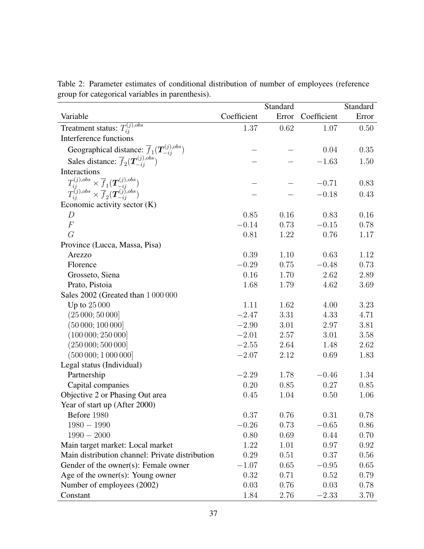|                                                                                                                                         | Standard        |       |             | Standard |
|-----------------------------------------------------------------------------------------------------------------------------------------|-----------------|-------|-------------|----------|
| Variable                                                                                                                                | Coefficient     | Error | Coefficient | Error    |
| Treatment status: $T_{ii}^{(j),obs}$                                                                                                    | 1.37            | 0.62  | 1.07        | 0.50     |
| Interference functions                                                                                                                  |                 |       |             |          |
|                                                                                                                                         |                 |       | 0.04        | 0.35     |
| Geographical distance: $\overline{f}_1(\mathbf{T}_{-ij}^{(j),obs})$<br>Sales distance: $\overline{f}_2(\mathbf{T}_{-ij}^{(j),obs})$     |                 |       | $-1.63$     | 1.50     |
| Interactions                                                                                                                            |                 |       |             |          |
|                                                                                                                                         |                 |       | $-0.71$     | 0.83     |
| $T_{ij}^{(j),obs} \times \frac{\overline{f}_1(\bm{T}_{-ij}^{(j),obs})}{T_{ij}^{(j),obs} \times \overline{f}_2(\bm{T}_{-ij}^{(j),obs})}$ |                 |       |             |          |
|                                                                                                                                         |                 |       | $-0.18$     | 0.43     |
| Economic activity sector $(K)$                                                                                                          |                 |       |             |          |
| D<br>$\boldsymbol{F}$                                                                                                                   | 0.85<br>$-0.14$ | 0.16  | 0.83        | 0.16     |
|                                                                                                                                         |                 | 0.73  | $-0.15$     | 0.78     |
| G                                                                                                                                       | 0.81            | 1.22  | 0.76        | 1.17     |
| Province (Lucca, Massa, Pisa)                                                                                                           |                 |       |             |          |
| Arezzo                                                                                                                                  | 0.39<br>$-0.29$ | 1.10  | 0.63        | 1.12     |
| Florence                                                                                                                                |                 | 0.75  | $-0.48$     | 0.73     |
| Grosseto, Siena                                                                                                                         | 0.16            | 1.70  | 2.62        | 2.89     |
| Prato, Pistoia                                                                                                                          | 1.68            | 1.79  | 4.62        | 3.69     |
| Sales 2002 (Greated than 1 000 000                                                                                                      |                 |       |             |          |
| Up to $25000$                                                                                                                           | 1.11            | 1.62  | 4.00        | 3.23     |
| (25000; 50000]                                                                                                                          | $-2.47$         | 3.31  | 4.33        | 4.71     |
| (50000; 100000]                                                                                                                         | $-2.90$         | 3.01  | 2.97        | 3.81     |
| (100000; 250000]                                                                                                                        | $-2.01$         | 2.57  | 3.01        | 3.58     |
| (250000; 500000]                                                                                                                        | $-2.55$         | 2.64  | 1.48        | 2.62     |
| (500000; 1000000]                                                                                                                       | $-2.07$         | 2.12  | 0.69        | 1.83     |
| Legal status (Individual)                                                                                                               |                 |       |             |          |
| Partnership                                                                                                                             | $-2.29$         | 1.78  | $-0.46$     | 1.34     |
| Capital companies                                                                                                                       | 0.20            | 0.85  | 0.27        | 0.85     |
| Objective 2 or Phasing Out area                                                                                                         | 0.45            | 1.04  | 0.50        | 1.06     |
| Year of start up (After 2000)                                                                                                           |                 |       |             |          |
| Before 1980                                                                                                                             | 0.37            | 0.76  | 0.31        | 0.78     |
| $1980 - 1990$                                                                                                                           | $-0.26$         | 0.73  | $-0.65$     | 0.86     |
| $1990 - 2000$                                                                                                                           | 0.80            | 0.69  | 0.44        | 0.70     |
| Main target market: Local market                                                                                                        | 1.22            | 1.01  | 0.97        | 0.92     |
| Main distribution channel: Private distribution                                                                                         | 0.29            | 0.51  | 0.37        | 0.56     |
| Gender of the owner(s): Female owner                                                                                                    | $-1.07$         | 0.65  | $-0.95$     | 0.65     |
| Age of the owner $(s)$ : Young owner                                                                                                    | 0.32            | 0.71  | 0.52        | 0.79     |
| Number of employees (2002)                                                                                                              | 0.03            | 0.76  | 0.03        | 0.78     |
| Constant                                                                                                                                | 1.84            | 2.76  | $-2.33$     | 3.70     |

Table 2: Parameter estimates of conditional distribution of number of employees (reference group for categorical variables in parenthesis).